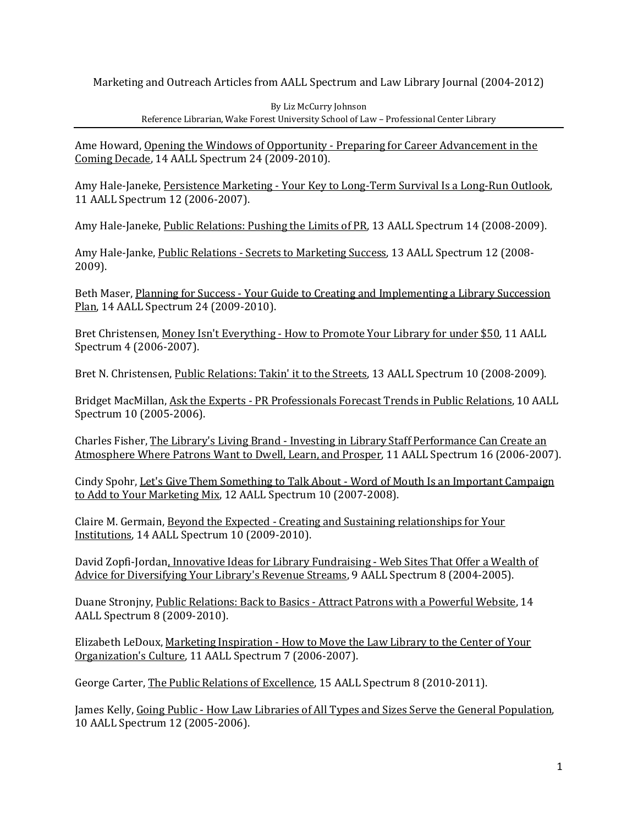Marketing and Outreach Articles from AALL Spectrum and Law Library Journal (2004-2012)

By Liz McCurry Johnson Reference Librarian, Wake Forest University School of Law – Professional Center Library

Ame Howard, Opening the Windows of Opportunity - Preparing for Career Advancement in the Coming Decade, 14 AALL Spectrum 24 (2009-2010).

Amy Hale-Janeke, Persistence Marketing - Your Key to Long-Term Survival Is a Long-Run Outlook, 11 AALL Spectrum 12 (2006-2007).

Amy Hale-Janeke, Public Relations: Pushing the Limits of PR, 13 AALL Spectrum 14 (2008-2009).

Amy Hale-Janke, Public Relations - Secrets to Marketing Success, 13 AALL Spectrum 12 (2008- 2009).

Beth Maser, Planning for Success - Your Guide to Creating and Implementing a Library Succession Plan, 14 AALL Spectrum 24 (2009-2010).

Bret Christensen, Money Isn't Everything - How to Promote Your Library for under \$50, 11 AALL Spectrum 4 (2006-2007).

Bret N. Christensen, Public Relations: Takin' it to the Streets, 13 AALL Spectrum 10 (2008-2009).

Bridget MacMillan, Ask the Experts - PR Professionals Forecast Trends in Public Relations, 10 AALL Spectrum 10 (2005-2006).

Charles Fisher, The Library's Living Brand - Investing in Library Staff Performance Can Create an Atmosphere Where Patrons Want to Dwell, Learn, and Prosper, 11 AALL Spectrum 16 (2006-2007).

Cindy Spohr, Let's Give Them Something to Talk About - Word of Mouth Is an Important Campaign to Add to Your Marketing Mix, 12 AALL Spectrum 10 (2007-2008).

Claire M. Germain, Beyond the Expected - Creating and Sustaining relationships for Your Institutions, 14 AALL Spectrum 10 (2009-2010).

David Zopfi-Jordan, Innovative Ideas for Library Fundraising - Web Sites That Offer a Wealth of Advice for Diversifying Your Library's Revenue Streams, 9 AALL Spectrum 8 (2004-2005).

Duane Stronjny, Public Relations: Back to Basics - Attract Patrons with a Powerful Website, 14 AALL Spectrum 8 (2009-2010).

Elizabeth LeDoux, Marketing Inspiration - How to Move the Law Library to the Center of Your Organization's Culture, 11 AALL Spectrum 7 (2006-2007).

George Carter, The Public Relations of Excellence, 15 AALL Spectrum 8 (2010-2011).

James Kelly, Going Public - How Law Libraries of All Types and Sizes Serve the General Population, 10 AALL Spectrum 12 (2005-2006).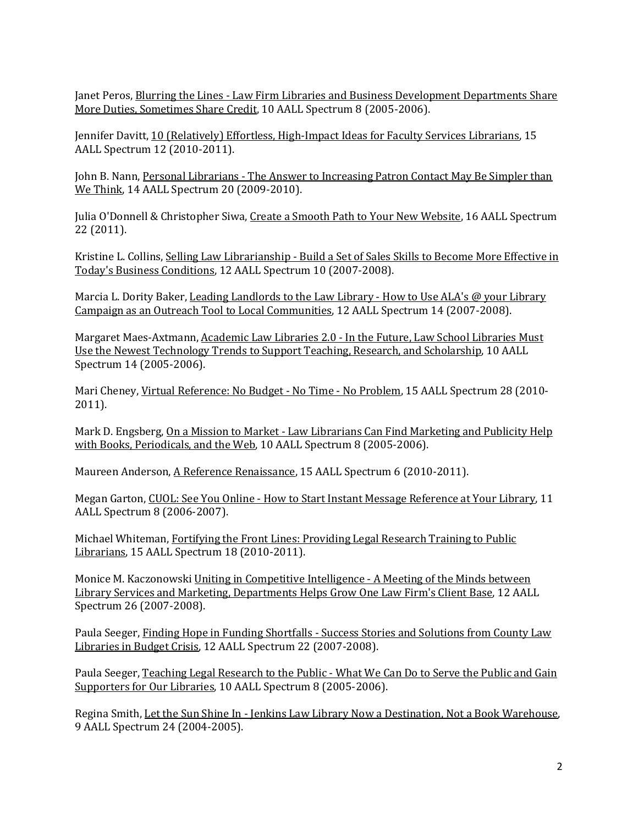Janet Peros, Blurring the Lines - Law Firm Libraries and Business Development Departments Share More Duties, Sometimes Share Credit, 10 AALL Spectrum 8 (2005-2006).

Jennifer Davitt, 10 (Relatively) Effortless, High-Impact Ideas for Faculty Services Librarians, 15 AALL Spectrum 12 (2010-2011).

John B. Nann, Personal Librarians - The Answer to Increasing Patron Contact May Be Simpler than We Think, 14 AALL Spectrum 20 (2009-2010).

Julia O'Donnell & Christopher Siwa, Create a Smooth Path to Your New Website, 16 AALL Spectrum 22 (2011).

Kristine L. Collins, Selling Law Librarianship - Build a Set of Sales Skills to Become More Effective in Today's Business Conditions, 12 AALL Spectrum 10 (2007-2008).

Marcia L. Dority Baker, Leading Landlords to the Law Library - How to Use ALA's @ your Library Campaign as an Outreach Tool to Local Communities, 12 AALL Spectrum 14 (2007-2008).

Margaret Maes-Axtmann, Academic Law Libraries 2.0 - In the Future, Law School Libraries Must Use the Newest Technology Trends to Support Teaching, Research, and Scholarship, 10 AALL Spectrum 14 (2005-2006).

Mari Cheney, Virtual Reference: No Budget - No Time - No Problem, 15 AALL Spectrum 28 (2010- 2011).

Mark D. Engsberg, On a Mission to Market - Law Librarians Can Find Marketing and Publicity Help with Books, Periodicals, and the Web, 10 AALL Spectrum 8 (2005-2006).

Maureen Anderson, A Reference Renaissance, 15 AALL Spectrum 6 (2010-2011).

Megan Garton, CUOL: See You Online - How to Start Instant Message Reference at Your Library, 11 AALL Spectrum 8 (2006-2007).

Michael Whiteman, Fortifying the Front Lines: Providing Legal Research Training to Public Librarians, 15 AALL Spectrum 18 (2010-2011).

Monice M. Kaczonowski Uniting in Competitive Intelligence - A Meeting of the Minds between Library Services and Marketing, Departments Helps Grow One Law Firm's Client Base, 12 AALL Spectrum 26 (2007-2008).

Paula Seeger, Finding Hope in Funding Shortfalls - Success Stories and Solutions from County Law Libraries in Budget Crisis, 12 AALL Spectrum 22 (2007-2008).

Paula Seeger, Teaching Legal Research to the Public - What We Can Do to Serve the Public and Gain Supporters for Our Libraries, 10 AALL Spectrum 8 (2005-2006).

Regina Smith, Let the Sun Shine In - Jenkins Law Library Now a Destination, Not a Book Warehouse, 9 AALL Spectrum 24 (2004-2005).